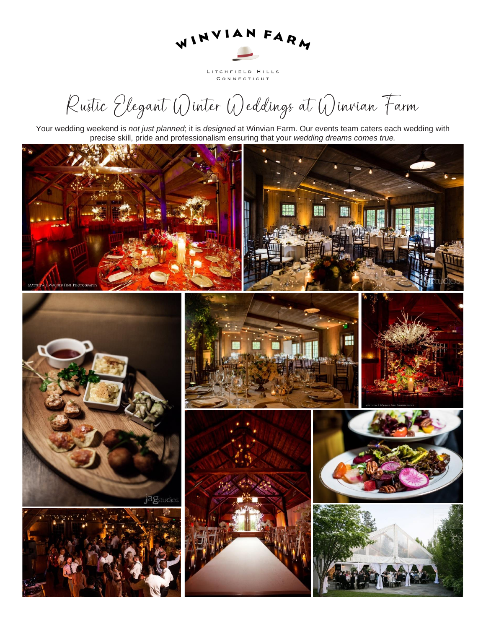

LITCHFIELD HILLS CONNECTICUT

Rustic Elegant Winter Weddings at Winvian Farm

Your wedding weekend is *not just planned*; it is *designed* at Winvian Farm. Our events team caters each wedding with precise skill, pride and professionalism ensuring that your *wedding dreams comes true.*